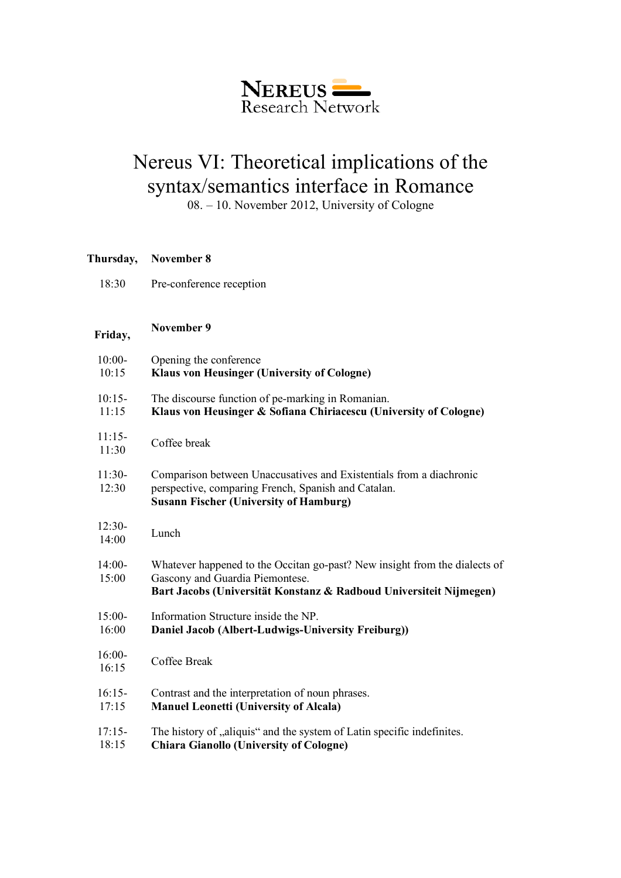

## Nereus VI: Theoretical implications of the syntax/semantics interface in Romance

08. – 10. November 2012, University of Cologne

| Thursday,         | November 8                                                                                                                                                                          |
|-------------------|-------------------------------------------------------------------------------------------------------------------------------------------------------------------------------------|
| 18:30             | Pre-conference reception                                                                                                                                                            |
| Friday,           | November 9                                                                                                                                                                          |
| $10:00-$<br>10:15 | Opening the conference<br>Klaus von Heusinger (University of Cologne)                                                                                                               |
| $10:15-$<br>11:15 | The discourse function of pe-marking in Romanian.<br>Klaus von Heusinger & Sofiana Chiriacescu (University of Cologne)                                                              |
| $11:15-$<br>11:30 | Coffee break                                                                                                                                                                        |
| $11:30-$<br>12:30 | Comparison between Unaccusatives and Existentials from a diachronic<br>perspective, comparing French, Spanish and Catalan.<br><b>Susann Fischer (University of Hamburg)</b>         |
| $12:30-$<br>14:00 | Lunch                                                                                                                                                                               |
| $14:00-$<br>15:00 | Whatever happened to the Occitan go-past? New insight from the dialects of<br>Gascony and Guardia Piemontese.<br>Bart Jacobs (Universität Konstanz & Radboud Universiteit Nijmegen) |
| $15:00-$<br>16:00 | Information Structure inside the NP.<br>Daniel Jacob (Albert-Ludwigs-University Freiburg))                                                                                          |
| $16:00-$<br>16:15 | Coffee Break                                                                                                                                                                        |
| $16:15-$<br>17:15 | Contrast and the interpretation of noun phrases.<br><b>Manuel Leonetti (University of Alcala)</b>                                                                                   |
| $17:15-$          | The history of "aliquis" and the system of Latin specific indefinites.                                                                                                              |

18:15 **Chiara Gianollo (University of Cologne)**